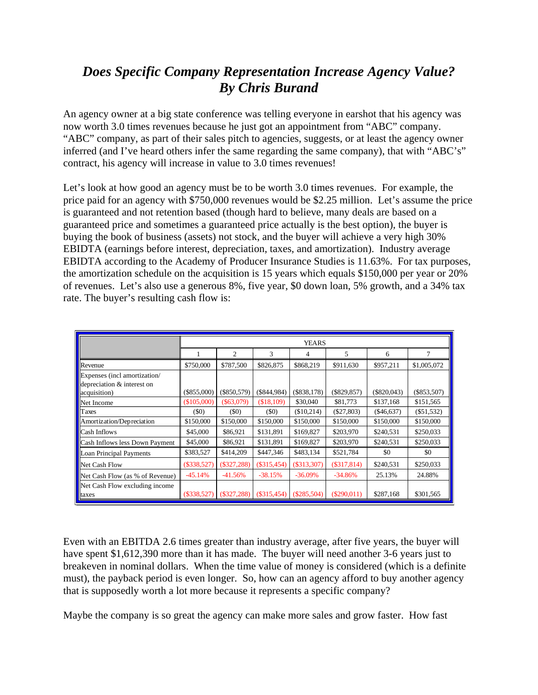## *Does Specific Company Representation Increase Agency Value? By Chris Burand*

An agency owner at a big state conference was telling everyone in earshot that his agency was now worth 3.0 times revenues because he just got an appointment from "ABC" company. "ABC" company, as part of their sales pitch to agencies, suggests, or at least the agency owner inferred (and I've heard others infer the same regarding the same company), that with "ABC's" contract, his agency will increase in value to 3.0 times revenues!

Let's look at how good an agency must be to be worth 3.0 times revenues. For example, the price paid for an agency with \$750,000 revenues would be \$2.25 million. Let's assume the price is guaranteed and not retention based (though hard to believe, many deals are based on a guaranteed price and sometimes a guaranteed price actually is the best option), the buyer is buying the book of business (assets) not stock, and the buyer will achieve a very high 30% EBIDTA (earnings before interest, depreciation, taxes, and amortization). Industry average EBIDTA according to the Academy of Producer Insurance Studies is 11.63%. For tax purposes, the amortization schedule on the acquisition is 15 years which equals \$150,000 per year or 20% of revenues. Let's also use a generous 8%, five year, \$0 down loan, 5% growth, and a 34% tax rate. The buyer's resulting cash flow is:

|                                                                           | YEARS         |                |                   |               |               |               |               |
|---------------------------------------------------------------------------|---------------|----------------|-------------------|---------------|---------------|---------------|---------------|
|                                                                           |               | $\overline{c}$ | 3                 | 4             | 5             | 6             |               |
| Revenue                                                                   | \$750,000     | \$787,500      | \$826,875         | \$868,219     | \$911,630     | \$957,211     | \$1,005,072   |
| Expenses (incl amortization/<br>$\blacksquare$ depreciation & interest on |               |                |                   |               |               |               |               |
| acquisition)                                                              | $(\$855,000)$ | $(\$850,579)$  | $(\$844,984)$     | $(\$838,178)$ | $(\$829,857)$ | $(\$820,043)$ | $(\$853,507)$ |
| Net Income                                                                | (\$105,000)   | $($ \$63,079)  | (\$18,109)        | \$30,040      | \$81,773      | \$137,168     | \$151,565     |
| $\Gamma$ axes                                                             | (50)          | (50)           | (S <sub>0</sub> ) | (\$10,214)    | $(\$27,803)$  | $(\$46,637)$  | $(\$51,532)$  |
| Amortization/Depreciation                                                 | \$150,000     | \$150,000      | \$150,000         | \$150,000     | \$150,000     | \$150,000     | \$150,000     |
| <b>Cash Inflows</b>                                                       | \$45,000      | \$86,921       | \$131,891         | \$169,827     | \$203,970     | \$240,531     | \$250,033     |
| <b>Cash Inflows less Down Payment</b>                                     | \$45,000      | \$86,921       | \$131,891         | \$169,827     | \$203,970     | \$240,531     | \$250,033     |
| Loan Principal Payments                                                   | \$383,527     | \$414,209      | \$447,346         | \$483,134     | \$521,784     | \$0           | \$0           |
| Net Cash Flow                                                             | $(\$338,527)$ | $(\$327,288)$  | $(\$315,454)$     | $(\$313,307)$ | $(\$317,814)$ | \$240,531     | \$250,033     |
| Net Cash Flow (as % of Revenue)                                           | $-45.14%$     | $-41.56%$      | $-38.15%$         | $-36.09\%$    | $-34.86%$     | 25.13%        | 24.88%        |
| Net Cash Flow excluding income<br>taxes                                   | $(\$338,527)$ | $(\$327,288)$  | $(\$315,454)$     | $(\$285,504)$ | $(\$290,011)$ | \$287,168     | \$301,565     |

Even with an EBITDA 2.6 times greater than industry average, after five years, the buyer will have spent \$1,612,390 more than it has made. The buyer will need another 3-6 years just to breakeven in nominal dollars. When the time value of money is considered (which is a definite must), the payback period is even longer. So, how can an agency afford to buy another agency that is supposedly worth a lot more because it represents a specific company?

Maybe the company is so great the agency can make more sales and grow faster. How fast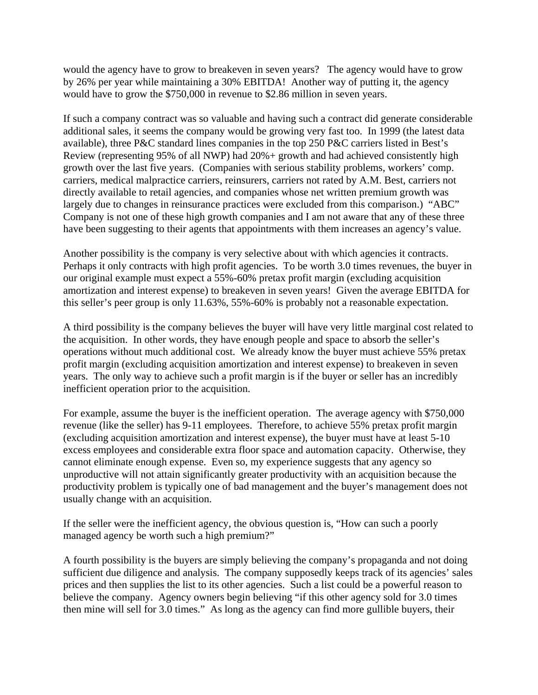would the agency have to grow to breakeven in seven years? The agency would have to grow by 26% per year while maintaining a 30% EBITDA! Another way of putting it, the agency would have to grow the \$750,000 in revenue to \$2.86 million in seven years.

If such a company contract was so valuable and having such a contract did generate considerable additional sales, it seems the company would be growing very fast too. In 1999 (the latest data available), three P&C standard lines companies in the top 250 P&C carriers listed in Best's Review (representing 95% of all NWP) had 20%+ growth and had achieved consistently high growth over the last five years. (Companies with serious stability problems, workers' comp. carriers, medical malpractice carriers, reinsurers, carriers not rated by A.M. Best, carriers not directly available to retail agencies, and companies whose net written premium growth was largely due to changes in reinsurance practices were excluded from this comparison.) "ABC" Company is not one of these high growth companies and I am not aware that any of these three have been suggesting to their agents that appointments with them increases an agency's value.

Another possibility is the company is very selective about with which agencies it contracts. Perhaps it only contracts with high profit agencies. To be worth 3.0 times revenues, the buyer in our original example must expect a 55%-60% pretax profit margin (excluding acquisition amortization and interest expense) to breakeven in seven years! Given the average EBITDA for this seller's peer group is only 11.63%, 55%-60% is probably not a reasonable expectation.

A third possibility is the company believes the buyer will have very little marginal cost related to the acquisition. In other words, they have enough people and space to absorb the seller's operations without much additional cost. We already know the buyer must achieve 55% pretax profit margin (excluding acquisition amortization and interest expense) to breakeven in seven years. The only way to achieve such a profit margin is if the buyer or seller has an incredibly inefficient operation prior to the acquisition.

For example, assume the buyer is the inefficient operation. The average agency with \$750,000 revenue (like the seller) has 9-11 employees. Therefore, to achieve 55% pretax profit margin (excluding acquisition amortization and interest expense), the buyer must have at least 5-10 excess employees and considerable extra floor space and automation capacity. Otherwise, they cannot eliminate enough expense. Even so, my experience suggests that any agency so unproductive will not attain significantly greater productivity with an acquisition because the productivity problem is typically one of bad management and the buyer's management does not usually change with an acquisition.

If the seller were the inefficient agency, the obvious question is, "How can such a poorly managed agency be worth such a high premium?"

A fourth possibility is the buyers are simply believing the company's propaganda and not doing sufficient due diligence and analysis. The company supposedly keeps track of its agencies' sales prices and then supplies the list to its other agencies. Such a list could be a powerful reason to believe the company. Agency owners begin believing "if this other agency sold for 3.0 times then mine will sell for 3.0 times." As long as the agency can find more gullible buyers, their